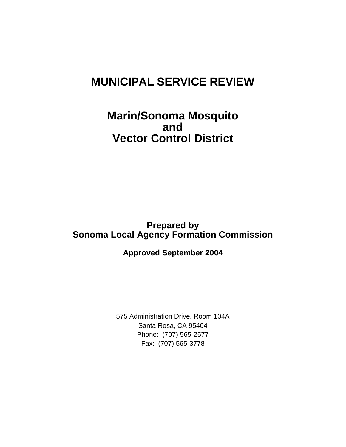# **MUNICIPAL SERVICE REVIEW**

# **Marin/Sonoma Mosquito and Vector Control District**

# **Prepared by<br>Sonoma Local Agency Formation Commission<br>Approved September 2004**

**Approved September 2004** 

575 Administration Drive, Room 104A<br>Santa Rosa, CA 95404<br>Phone: (707) 565-2577<br>Fax: (707) 565-3778 Santa Rosa, CA 95404 Phone: (707) 565-2577 Fax: (707) 565-3778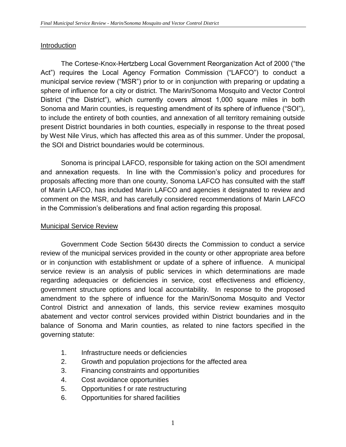#### **Introduction**

 Act") requires the Local Agency Formation Commission ("LAFCO") to conduct a municipal service review ("MSR") prior to or in conjunction with preparing or updating a sphere of influence for a city or district. The Marin/Sonoma Mosquito and Vector Control District ("the District"), which currently covers almost 1,000 square miles in both to include the entirety of both counties, and annexation of all territory remaining outside present District boundaries in both counties, especially in response to the threat posed by West Nile Virus, which has affected this area as of this summer. Under the proposal, The Cortese-Knox-Hertzberg Local Government Reorganization Act of 2000 ("the Sonoma and Marin counties, is requesting amendment of its sphere of influence ("SOI"), the SOI and District boundaries would be coterminous.

 and annexation requests. In line with the Commission's policy and procedures for proposals affecting more than one county, Sonoma LAFCO has consulted with the staff of Marin LAFCO, has included Marin LAFCO and agencies it designated to review and comment on the MSR, and has carefully considered recommendations of Marin LAFCO Sonoma is principal LAFCO, responsible for taking action on the SOI amendment in the Commission's deliberations and final action regarding this proposal.

### Municipal Service Review

 Government Code Section 56430 directs the Commission to conduct a service review of the municipal services provided in the county or other appropriate area before or in conjunction with establishment or update of a sphere of influence. A municipal service review is an analysis of public services in which determinations are made regarding adequacies or deficiencies in service, cost effectiveness and efficiency, government structure options and local accountability. In response to the proposed amendment to the sphere of influence for the Marin/Sonoma Mosquito and Vector Control District and annexation of lands, this service review examines mosquito abatement and vector control services provided within District boundaries and in the balance of Sonoma and Marin counties, as related to nine factors specified in the governing statute:

- 1. Infrastructure needs or deficiencies
- 2. Growth and population projections for the affected area
- 3. Financing constraints and opportunities
- 4. Cost avoidance opportunities
- 5. Opportunities f or rate restructuring
- 6. Opportunities for shared facilities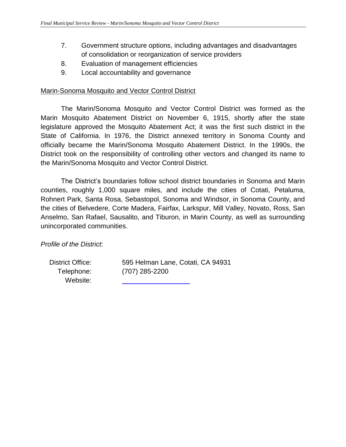- $7.$ 7.Government structure options, including advantages and disadvantages of consolidation or reorganization of service providers
- 8. Evaluation of management efficiencies
- 9. Local accountability and governance

#### Marin-Sonoma Mosquito and Vector Control District

 The Marin/Sonoma Mosquito and Vector Control District was formed as the Marin Mosquito Abatement District on November 6, 1915, shortly after the state legislature approved the Mosquito Abatement Act; it was the first such district in the State of California. In 1976, the District annexed territory in Sonoma County and officially became the Marin/Sonoma Mosquito Abatement District. In the 1990s, the District took on the responsibility of controlling other vectors and changed its name to the Marin/Sonoma Mosquito and Vector Control District.

 the Marin/Sonoma Mosquito and Vector Control District. The District's boundaries follow school district boundaries in Sonoma and Marin counties, roughly 1,000 square miles, and include the cities of Cotati, Petaluma, Rohnert Park, Santa Rosa, Sebastopol, Sonoma and Windsor, in Sonoma County, and the cities of Belvedere, Corte Madera, Fairfax, Larkspur, Mill Valley, Novato, Ross, San Anselmo, San Rafael, Sausalito, and Tiburon, in Marin County, as well as surrounding unincorporated communities.

*Profile of the District*:

District Office: Telephone: Website:

 District Office: 595 Helman Lane, Cotati, CA 94931Telephone: (707) 285-2200Website: (707) 285-2200

l,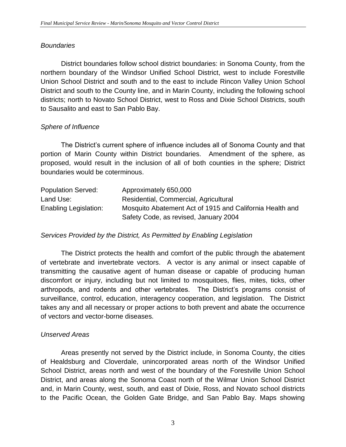#### *Boundaries*

 northern boundary of the Windsor Unified School District, west to include Forestville Union School District and south and to the east to include Rincon Valley Union School District and south to the County line, and in Marin County, including the following school districts; north to Novato School District, west to Ross and Dixie School Districts, south to Sausalito and east to San Pablo Bay. District boundaries follow school district boundaries: in Sonoma County, from the

#### *Sphere of Influence*

 The District's current sphere of influence includes all of Sonoma County and that portion of Marin County within District boundaries. Amendment of the sphere, as proposed, would result in the inclusion of all of both counties in the sphere; District boundaries would be coterminous.

| <b>Population Served:</b>    | Approximately 650,000                                    |
|------------------------------|----------------------------------------------------------|
| Land Use:                    | Residential, Commercial, Agricultural                    |
| <b>Enabling Legislation:</b> | Mosquito Abatement Act of 1915 and California Health and |
|                              | Safety Code, as revised, January 2004                    |

#### *Services Provided by the District, As Permitted by Enabling Legislation*

 The District protects the health and comfort of the public through the abatement of vertebrate and invertebrate vectors. A vector is any animal or insect capable of transmitting the causative agent of human disease or capable of producing human discomfort or injury, including but not limited to mosquitoes, flies, mites, ticks, other arthropods, and rodents and other vertebrates. The District's programs consist of surveillance, control, education, interagency cooperation, and legislation. The District takes any and all necessary or proper actions to both prevent and abate the occurrence of vectors and vector-borne diseases.

#### *Unserved Areas*

 Areas presently not served by the District include, in Sonoma County, the cities of Healdsburg and Cloverdale, unincorporated areas north of the Windsor Unified School District, areas north and west of the boundary of the Forestville Union School District, and areas along the Sonoma Coast north of the Wilmar Union School District and, in Marin County, west, south, and east of Dixie, Ross, and Novato school districts to the Pacific Ocean, the Golden Gate Bridge, and San Pablo Bay. Maps showing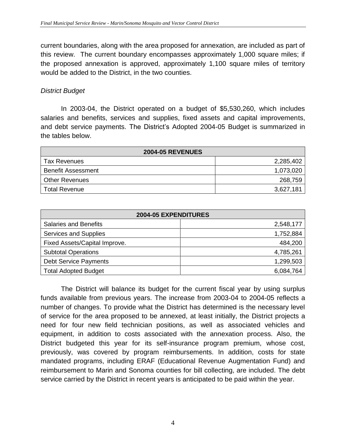current boundaries, along with the area proposed for annexation, are included as part of this review. The current boundary encompasses approximately 1,000 square miles; if the proposed annexation is approved, approximately 1,100 square miles of territory would be added to the District, in the two counties.

#### *District Budget*

 In 2003-04, the District operated on a budget of \$5,530,260, which includes salaries and benefits, services and supplies, fixed assets and capital improvements, and debt service payments. The District's Adopted 2004-05 Budget is summarized in the tables below.

| <b>2004-05 REVENUES</b>   |           |  |  |  |  |
|---------------------------|-----------|--|--|--|--|
| <b>Tax Revenues</b>       | 2,285,402 |  |  |  |  |
| <b>Benefit Assessment</b> | 1,073,020 |  |  |  |  |
| <b>Other Revenues</b>     | 268,759   |  |  |  |  |
| <b>Total Revenue</b>      | 3,627,181 |  |  |  |  |

| <b>2004-05 EXPENDITURES</b>   |           |  |  |  |  |
|-------------------------------|-----------|--|--|--|--|
| <b>Salaries and Benefits</b>  | 2,548,177 |  |  |  |  |
| Services and Supplies         | 1,752,884 |  |  |  |  |
| Fixed Assets/Capital Improve. | 484,200   |  |  |  |  |
| <b>Subtotal Operations</b>    | 4,785,261 |  |  |  |  |
| <b>Debt Service Payments</b>  | 1,299,503 |  |  |  |  |
| <b>Total Adopted Budget</b>   | 6,084,764 |  |  |  |  |

 The District will balance its budget for the current fiscal year by using surplus funds available from previous years. The increase from 2003-04 to 2004-05 reflects a number of changes. To provide what the District has determined is the necessary level of service for the area proposed to be annexed, at least initially, the District projects a equipment, in addition to costs associated with the annexation process. Also, the District budgeted this year for its self-insurance program premium, whose cost, previously, was covered by program reimbursements. In addition, costs for state mandated programs, including ERAF (Educational Revenue Augmentation Fund) and reimbursement to Marin and Sonoma counties for bill collecting, are included. The debt service carried by the District in recent years is anticipated to be paid within the year. need for four new field technician positions, as well as associated vehicles and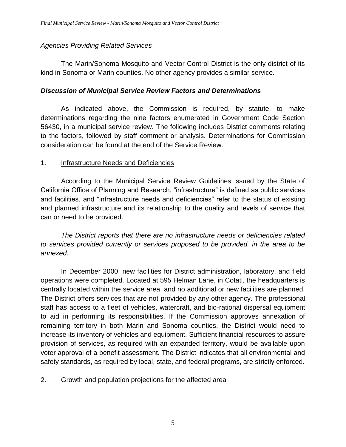# *Agencies Providing Related Services*

The Marin/Sonoma Mosquito and Vector Control District is the only district of its kind in Sonoma or Marin counties. No other agency provides a similar service.

# *Discussion of Municipal Service Review Factors and Determinations*

As indicated above, the Commission is required, by statute, to make determinations regarding the nine factors enumerated in Government Code Section 56430, in a municipal service review. The following includes District comments relating to the factors, followed by staff comment or analysis. Determinations for Commission consideration can be found at the end of the Service Review.

## 1. Infrastructure Needs and Deficiencies

According to the Municipal Service Review Guidelines issued by the State of California Office of Planning and Research, "infrastructure" is defined as public services and facilities, and "infrastructure needs and deficiencies" refer to the status of existing and planned infrastructure and its relationship to the quality and levels of service that can or need to be provided.

*The District reports that there are no infrastructure needs or deficiencies related to services provided currently or services proposed to be provided, in the area to be annexed.* 

In December 2000, new facilities for District administration, laboratory, and field operations were completed. Located at 595 Helman Lane, in Cotati, the headquarters is centrally located within the service area, and no additional or new facilities are planned. The District offers services that are not provided by any other agency. The professional staff has access to a fleet of vehicles, watercraft, and bio-rational dispersal equipment to aid in performing its responsibilities. If the Commission approves annexation of remaining territory in both Marin and Sonoma counties, the District would need to increase its inventory of vehicles and equipment. Sufficient financial resources to assure provision of services, as required with an expanded territory, would be available upon voter approval of a benefit assessment. The District indicates that all environmental and safety standards, as required by local, state, and federal programs, are strictly enforced.

# 2. Growth and population projections for the affected area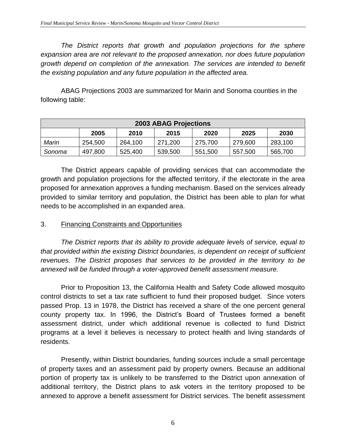*The District reports that growth and population projections for the sphere expansion area are not relevant to the proposed annexation, nor does future population growth depend on completion of the annexation. The services are intended to benefit the existing population and any future population in the affected area.* 

ABAG Projections 2003 are summarized for Marin and Sonoma counties in the following table:

| 2003 ABAG Projections |         |         |         |         |         |         |  |  |  |
|-----------------------|---------|---------|---------|---------|---------|---------|--|--|--|
|                       | 2005    | 2010    | 2015    | 2020    | 2025    | 2030    |  |  |  |
| Marin                 | 254,500 | 264,100 | 271,200 | 275,700 | 279,600 | 283,100 |  |  |  |
| Sonoma                | 497,800 | 525,400 | 539,500 | 551,500 | 557,500 | 565,700 |  |  |  |

The District appears capable of providing services that can accommodate the growth and population projections for the affected territory, if the electorate in the area proposed for annexation approves a funding mechanism. Based on the services already provided to similar territory and population, the District has been able to plan for what needs to be accomplished in an expanded area.

#### 3. Financing Constraints and Opportunities

*The District reports that its ability to provide adequate levels of service, equal to that provided within the existing District boundaries, is dependent on receipt of sufficient revenues. The District proposes that services to be provided in the territory to be annexed will be funded through a voter-approved benefit assessment measure.* 

Prior to Proposition 13, the California Health and Safety Code allowed mosquito control districts to set a tax rate sufficient to fund their proposed budget. Since voters passed Prop. 13 in 1978, the District has received a share of the one percent general county property tax. In 1996, the District's Board of Trustees formed a benefit assessment district, under which additional revenue is collected to fund District programs at a level it believes is necessary to protect health and living standards of residents.

Presently, within District boundaries, funding sources include a small percentage of property taxes and an assessment paid by property owners. Because an additional portion of property tax is unlikely to be transferred to the District upon annexation of additional territory, the District plans to ask voters in the territory proposed to be annexed to approve a benefit assessment for District services. The benefit assessment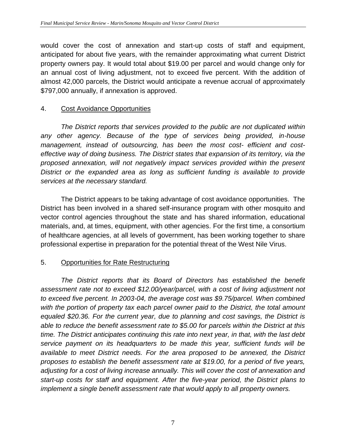would cover the cost of annexation and start-up costs of staff and equipment, anticipated for about five years, with the remainder approximating what current District property owners pay. It would total about \$19.00 per parcel and would change only for an annual cost of living adjustment, not to exceed five percent. With the addition of almost 42,000 parcels, the District would anticipate a revenue accrual of approximately \$797,000 annually, if annexation is approved.

# 4. Cost Avoidance Opportunities

*The District reports that services provided to the public are not duplicated within any other agency. Because of the type of services being provided, in-house management, instead of outsourcing, has been the most cost- efficient and costeffective way of doing business. The District states that expansion of its territory, via the proposed annexation, will not negatively impact services provided within the present District or the expanded area as long as sufficient funding is available to provide services at the necessary standard.* 

The District appears to be taking advantage of cost avoidance opportunities. The District has been involved in a shared self-insurance program with other mosquito and vector control agencies throughout the state and has shared information, educational materials, and, at times, equipment, with other agencies. For the first time, a consortium of healthcare agencies, at all levels of government, has been working together to share professional expertise in preparation for the potential threat of the West Nile Virus.

# 5. Opportunities for Rate Restructuring

 *The District reports that its Board of Directors has established the benefit assessment rate not to exceed \$12.00/year/parcel, with a cost of living adjustment not to exceed five percent. In 2003-04, the average cost was \$9.75/parcel. When combined with the portion of property tax each parcel owner paid to the District, the total amount equaled \$20.36. For the current year, due to planning and cost savings, the District is able to reduce the benefit assessment rate to \$5.00 for parcels within the District at this time. The District anticipates continuing this rate into next year, in that, with the last debt service payment on its headquarters to be made this year, sufficient funds will be available to meet District needs. For the area proposed to be annexed, the District proposes to establish the benefit assessment rate at \$19.00, for a period of five years, adjusting for a cost of living increase annually. This will cover the cost of annexation and start-up costs for staff and equipment. After the five-year period, the District plans to implement a single benefit assessment rate that would apply to all property owners.*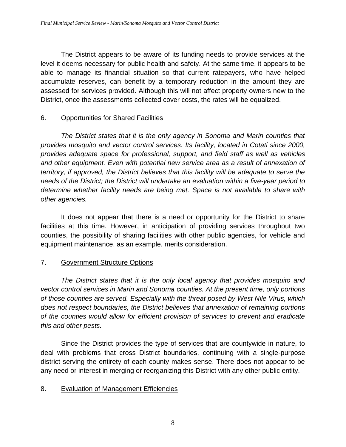The District appears to be aware of its funding needs to provide services at the level it deems necessary for public health and safety. At the same time, it appears to be able to manage its financial situation so that current ratepayers, who have helped accumulate reserves, can benefit by a temporary reduction in the amount they are assessed for services provided. Although this will not affect property owners new to the District, once the assessments collected cover costs, the rates will be equalized.

# 6. Opportunities for Shared Facilities

*The District states that it is the only agency in Sonoma and Marin counties that provides mosquito and vector control services. Its facility, located in Cotati since 2000, provides adequate space for professional, support, and field staff as well as vehicles and other equipment. Even with potential new service area as a result of annexation of territory, if approved, the District believes that this facility will be adequate to serve the needs of the District; the District will undertake an evaluation within a five-year period to determine whether facility needs are being met. Space is not available to share with other agencies.* 

It does not appear that there is a need or opportunity for the District to share facilities at this time. However, in anticipation of providing services throughout two counties, the possibility of sharing facilities with other public agencies, for vehicle and equipment maintenance, as an example, merits consideration.

# 7. Government Structure Options

*The District states that it is the only local agency that provides mosquito and vector control services in Marin and Sonoma counties. At the present time, only portions of those counties are served. Especially with the threat posed by West Nile Virus, which does not respect boundaries, the District believes that annexation of remaining portions of the counties would allow for efficient provision of services to prevent and eradicate this and other pests.* 

Since the District provides the type of services that are countywide in nature, to deal with problems that cross District boundaries, continuing with a single-purpose district serving the entirety of each county makes sense. There does not appear to be any need or interest in merging or reorganizing this District with any other public entity.

# 8. Evaluation of Management Efficiencies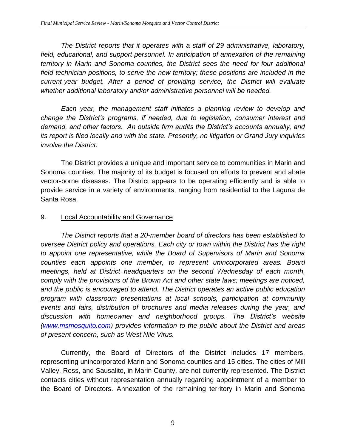*The District reports that it operates with a staff of 29 administrative, laboratory, field, educational, and support personnel. In anticipation of annexation of the remaining territory in Marin and Sonoma counties, the District sees the need for four additional field technician positions, to serve the new territory; these positions are included in the current-year budget. After a period of providing service, the District will evaluate whether additional laboratory and/or administrative personnel will be needed.* 

*Each year, the management staff initiates a planning review to develop and change the District's programs, if needed, due to legislation, consumer interest and demand, and other factors. An outside firm audits the District's accounts annually, and its report is filed locally and with the state. Presently, no litigation or Grand Jury inquiries involve the District.* 

The District provides a unique and important service to communities in Marin and Sonoma counties. The majority of its budget is focused on efforts to prevent and abate vector-borne diseases. The District appears to be operating efficiently and is able to provide service in a variety of environments, ranging from residential to the Laguna de Santa Rosa.

#### 9. Local Accountability and Governance

*The District reports that a 20-member board of directors has been established to oversee District policy and operations. Each city or town within the District has the right to appoint one representative, while the Board of Supervisors of Marin and Sonoma counties each appoints one member, to represent unincorporated areas. Board meetings, held at District headquarters on the second Wednesday of each month, comply with the provisions of the Brown Act and other state laws; meetings are noticed, and the public is encouraged to attend. The District operates an active public education program with classroom presentations at local schools, participation at community events and fairs, distribution of brochures and media releases during the year, and discussion with homeowner and neighborhood groups. The District's website [\(www.msmosquito.com\)](http://www.msmosquito.com/) provides information to the public about the District and areas of present concern, such as West Nile Virus.* 

Currently, the Board of Directors of the District includes 17 members, representing unincorporated Marin and Sonoma counties and 15 cities. The cities of Mill Valley, Ross, and Sausalito, in Marin County, are not currently represented. The District contacts cities without representation annually regarding appointment of a member to the Board of Directors. Annexation of the remaining territory in Marin and Sonoma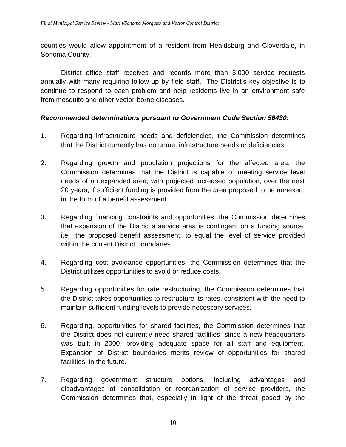counties would allow appointment of a resident from Healdsburg and Cloverdale, in Sonoma County.

District office staff receives and records more than 3,000 service requests annually with many requiring follow-up by field staff. The District's key objective is to continue to respond to each problem and help residents live in an environment safe from mosquito and other vector-borne diseases.

#### *Recommended determinations pursuant to Government Code Section 56430:*

- 1. Regarding infrastructure needs and deficiencies, the Commission determines that the District currently has no unmet infrastructure needs or deficiencies.
- 2. Regarding growth and population projections for the affected area, the Commission determines that the District is capable of meeting service level needs of an expanded area, with projected increased population, over the next 20 years, if sufficient funding is provided from the area proposed to be annexed, in the form of a benefit assessment.
- 3. Regarding financing constraints and opportunities, the Commission determines that expansion of the District's service area is contingent on a funding source, i.e., the proposed benefit assessment, to equal the level of service provided within the current District boundaries.
- 4. Regarding cost avoidance opportunities, the Commission determines that the District utilizes opportunities to avoid or reduce costs.
- 5. Regarding opportunities for rate restructuring, the Commission determines that the District takes opportunities to restructure its rates, consistent with the need to maintain sufficient funding levels to provide necessary services.
- 6. Regarding, opportunities for shared facilities, the Commission determines that the District does not currently need shared facilities, since a new headquarters was built in 2000, providing adequate space for all staff and equipment. Expansion of District boundaries merits review of opportunities for shared facilities, in the future.
- 7. Regarding government structure options, including advantages and disadvantages of consolidation or reorganization of service providers, the Commission determines that, especially in light of the threat posed by the